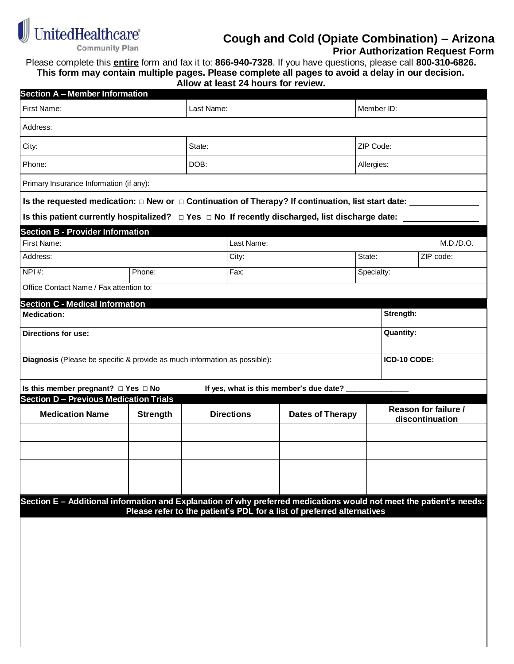

# **Cough and Cold (Opiate Combination) – Arizona**

 **Prior Authorization Request Form**

Please complete this **entire** form and fax it to: **866-940-7328**. If you have questions, please call **800-310-6826. This form may contain multiple pages. Please complete all pages to avoid a delay in our decision.**

**Allow at least 24 hours for review.**

| <b>Section A - Member Information</b>                                                                               |                 |  |                   |                                                                        |            |                                                |           |  |  |
|---------------------------------------------------------------------------------------------------------------------|-----------------|--|-------------------|------------------------------------------------------------------------|------------|------------------------------------------------|-----------|--|--|
| First Name:                                                                                                         | Last Name:      |  |                   |                                                                        | Member ID: |                                                |           |  |  |
| Address:                                                                                                            |                 |  |                   |                                                                        |            |                                                |           |  |  |
| City:                                                                                                               | State:          |  |                   | ZIP Code:                                                              |            |                                                |           |  |  |
| Phone:                                                                                                              | DOB:            |  |                   | Allergies:                                                             |            |                                                |           |  |  |
| Primary Insurance Information (if any):                                                                             |                 |  |                   |                                                                        |            |                                                |           |  |  |
| Is the requested medication: $\Box$ New or $\Box$ Continuation of Therapy? If continuation, list start date: $\Box$ |                 |  |                   |                                                                        |            |                                                |           |  |  |
| Is this patient currently hospitalized? $\Box$ Yes $\Box$ No If recently discharged, list discharge date:           |                 |  |                   |                                                                        |            |                                                |           |  |  |
| <b>Section B - Provider Information</b>                                                                             |                 |  |                   |                                                                        |            |                                                |           |  |  |
| First Name:                                                                                                         |                 |  | Last Name:        |                                                                        |            | M.D./D.O.                                      |           |  |  |
| Address:                                                                                                            |                 |  | City:             |                                                                        |            |                                                | ZIP code: |  |  |
| NPI#:                                                                                                               | Phone:          |  | Fax:              | Specialty:                                                             |            |                                                |           |  |  |
| Office Contact Name / Fax attention to:                                                                             |                 |  |                   |                                                                        |            |                                                |           |  |  |
| <b>Section C - Medical Information</b>                                                                              |                 |  |                   |                                                                        |            |                                                |           |  |  |
| <b>Medication:</b>                                                                                                  |                 |  |                   |                                                                        |            | Strength:                                      |           |  |  |
| Directions for use:                                                                                                 |                 |  |                   | <b>Quantity:</b>                                                       |            |                                                |           |  |  |
|                                                                                                                     |                 |  |                   |                                                                        |            |                                                |           |  |  |
| Diagnosis (Please be specific & provide as much information as possible):                                           |                 |  |                   |                                                                        |            | ICD-10 CODE:                                   |           |  |  |
| Is this member pregnant? □ Yes □ No<br>If yes, what is this member's due date?                                      |                 |  |                   |                                                                        |            |                                                |           |  |  |
| <b>Section D - Previous Medication Trials</b>                                                                       |                 |  |                   |                                                                        |            |                                                |           |  |  |
| <b>Medication Name</b>                                                                                              | <b>Strength</b> |  | <b>Directions</b> | <b>Dates of Therapy</b>                                                |            | <b>Reason for failure /</b><br>discontinuation |           |  |  |
|                                                                                                                     |                 |  |                   |                                                                        |            |                                                |           |  |  |
|                                                                                                                     |                 |  |                   |                                                                        |            |                                                |           |  |  |
|                                                                                                                     |                 |  |                   |                                                                        |            |                                                |           |  |  |
|                                                                                                                     |                 |  |                   |                                                                        |            |                                                |           |  |  |
| Section E - Additional information and Explanation of why preferred medications would not meet the patient's needs: |                 |  |                   |                                                                        |            |                                                |           |  |  |
|                                                                                                                     |                 |  |                   | Please refer to the patient's PDL for a list of preferred alternatives |            |                                                |           |  |  |
|                                                                                                                     |                 |  |                   |                                                                        |            |                                                |           |  |  |
|                                                                                                                     |                 |  |                   |                                                                        |            |                                                |           |  |  |
|                                                                                                                     |                 |  |                   |                                                                        |            |                                                |           |  |  |
|                                                                                                                     |                 |  |                   |                                                                        |            |                                                |           |  |  |
|                                                                                                                     |                 |  |                   |                                                                        |            |                                                |           |  |  |
|                                                                                                                     |                 |  |                   |                                                                        |            |                                                |           |  |  |
|                                                                                                                     |                 |  |                   |                                                                        |            |                                                |           |  |  |
|                                                                                                                     |                 |  |                   |                                                                        |            |                                                |           |  |  |
|                                                                                                                     |                 |  |                   |                                                                        |            |                                                |           |  |  |
|                                                                                                                     |                 |  |                   |                                                                        |            |                                                |           |  |  |